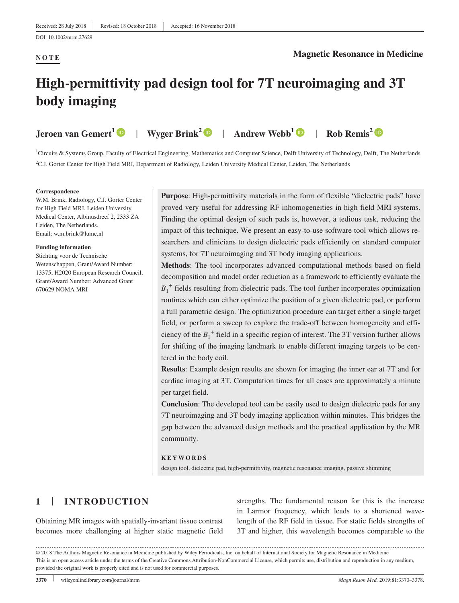#### **NOTE**

#### **Magnetic Resonance in Medicine**

# **High‐permittivity pad design tool for 7T neuroimaging and 3T body imaging**

**Jeroen van Gemert[1](https://orcid.org/0000-0002-2692-9286)** | **Wyger Brink<sup>2</sup>** | **Andrew Webb1** | **Rob Remis2**

<sup>1</sup>Circuits & Systems Group, Faculty of Electrical Engineering, Mathematics and Computer Science, Delft University of Technology, Delft, The Netherlands 2 C.J. Gorter Center for High Field MRI, Department of Radiology, Leiden University Medical Center, Leiden, The Netherlands

#### **Correspondence**

W.M. Brink, Radiology, C.J. Gorter Center for High Field MRI, Leiden University Medical Center, Albinusdreef 2, 2333 ZA Leiden, The Netherlands. Email: [w.m.brink@lumc.nl](mailto:w.m.brink@lumc.nl)

#### **Funding information**

Stichting voor de Technische Wetenschappen, Grant/Award Number: 13375; H2020 European Research Council, Grant/Award Number: Advanced Grant 670629 NOMA MRI

**Purpose**: High-permittivity materials in the form of flexible "dielectric pads" have proved very useful for addressing RF inhomogeneities in high field MRI systems. Finding the optimal design of such pads is, however, a tedious task, reducing the impact of this technique. We present an easy-to-use software tool which allows researchers and clinicians to design dielectric pads efficiently on standard computer systems, for 7T neuroimaging and 3T body imaging applications.

**Methods**: The tool incorporates advanced computational methods based on field decomposition and model order reduction as a framework to efficiently evaluate the  $B_1$ <sup>+</sup> fields resulting from dielectric pads. The tool further incorporates optimization routines which can either optimize the position of a given dielectric pad, or perform a full parametric design. The optimization procedure can target either a single target field, or perform a sweep to explore the trade‐off between homogeneity and efficiency of the  $B_1^+$  field in a specific region of interest. The 3T version further allows for shifting of the imaging landmark to enable different imaging targets to be centered in the body coil.

**Results**: Example design results are shown for imaging the inner ear at 7T and for cardiac imaging at 3T. Computation times for all cases are approximately a minute per target field.

**Conclusion**: The developed tool can be easily used to design dielectric pads for any 7T neuroimaging and 3T body imaging application within minutes. This bridges the gap between the advanced design methods and the practical application by the MR community.

**KEYWORDS**

design tool, dielectric pad, high‐permittivity, magnetic resonance imaging, passive shimming

# **1** | **INTRODUCTION**

Obtaining MR images with spatially‐invariant tissue contrast becomes more challenging at higher static magnetic field

strengths. The fundamental reason for this is the increase in Larmor frequency, which leads to a shortened wavelength of the RF field in tissue. For static fields strengths of 3T and higher, this wavelength becomes comparable to the

© 2018 The Authors Magnetic Resonance in Medicine published by Wiley Periodicals, Inc. on behalf of International Society for Magnetic Resonance in Medicine This is an open access article under the terms of the Creative Commons Attribution-NonCommercial License, which permits use, distribution and reproduction in any medium, provided the original work is properly cited and is not used for commercial purposes.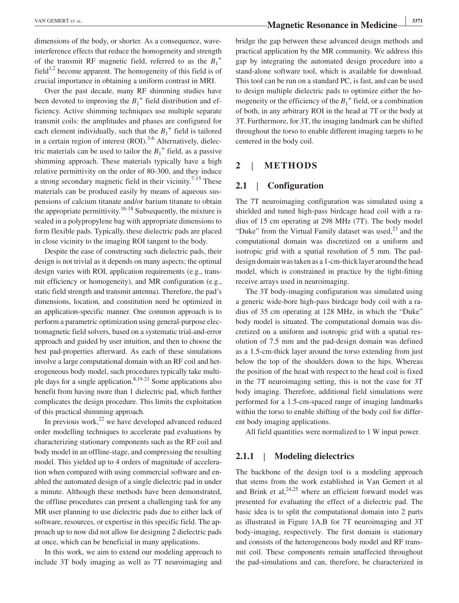dimensions of the body, or shorter. As a consequence, waveinterference effects that reduce the homogeneity and strength of the transmit RF magnetic field, referred to as the  $B_1^+$ field<sup>1,2</sup> become apparent. The homogeneity of this field is of crucial importance in obtaining a uniform contrast in MRI.

Over the past decade, many RF shimming studies have been devoted to improving the  $B_1^+$  field distribution and efficiency. Active shimming techniques use multiple separate transmit coils: the amplitudes and phases are configured for each element individually, such that the  $B_1^+$  field is tailored in a certain region of interest  $(ROI)$ .<sup>3-6</sup> Alternatively, dielectric materials can be used to tailor the  $B_1^+$  field, as a passive shimming approach. These materials typically have a high relative permittivity on the order of 80‐300, and they induce a strong secondary magnetic field in their vicinity.<sup>7-15</sup> These materials can be produced easily by means of aqueous suspensions of calcium titanate and/or barium titanate to obtain the appropriate permittivity.<sup>16-18</sup> Subsequently, the mixture is sealed in a polypropylene bag with appropriate dimensions to form flexible pads. Typically, these dielectric pads are placed in close vicinity to the imaging ROI tangent to the body.

Despite the ease of constructing such dielectric pads, their design is not trivial as it depends on many aspects; the optimal design varies with ROI, application requirements (e.g., transmit efficiency or homogeneity), and MR configuration (e.g., static field strength and transmit antenna). Therefore, the pad's dimensions, location, and constitution need be optimized in an application‐specific manner. One common approach is to perform a parametric optimization using general‐purpose electromagnetic field solvers, based on a systematic trial‐and‐error approach and guided by user intuition, and then to choose the best pad‐properties afterward. As each of these simulations involve a large computational domain with an RF coil and heterogeneous body model, such procedures typically take multiple days for a single application. $8,19-21$  Some applications also benefit from having more than 1 dielectric pad, which further complicates the design procedure. This limits the exploitation of this practical shimming approach.

In previous work, $^{22}$  we have developed advanced reduced order modelling techniques to accelerate pad evaluations by characterizing stationary components such as the RF coil and body model in an offline‐stage, and compressing the resulting model. This yielded up to 4 orders of magnitude of acceleration when compared with using commercial software and enabled the automated design of a single dielectric pad in under a minute. Although these methods have been demonstrated, the offline procedures can present a challenging task for any MR user planning to use dielectric pads due to either lack of software, resources, or expertise in this specific field. The approach up to now did not allow for designing 2 dielectric pads at once, which can be beneficial in many applications.

In this work, we aim to extend our modeling approach to include 3T body imaging as well as 7T neuroimaging and

VAN GEMERT ET AL. 3371

bridge the gap between these advanced design methods and practical application by the MR community. We address this gap by integrating the automated design procedure into a stand‐alone software tool, which is available for download. This tool can be run on a standard PC, is fast, and can be used to design multiple dielectric pads to optimize either the homogeneity or the efficiency of the  $B_1^+$  field, or a combination of both, in any arbitrary ROI in the head at 7T or the body at 3T. Furthermore, for 3T, the imaging landmark can be shifted

throughout the torso to enable different imaging targets to be

## **2** | **METHODS**

centered in the body coil.

#### **2.1** | **Configuration**

The 7T neuroimaging configuration was simulated using a shielded and tuned high-pass birdcage head coil with a radius of 15 cm operating at 298 MHz (7T). The body model "Duke" from the Virtual Family dataset was used, $^{23}$  and the computational domain was discretized on a uniform and isotropic grid with a spatial resolution of 5 mm. The paddesign domain was taken as a 1‐cm‐thick layer around the head model, which is constrained in practice by the tight‐fitting receive arrays used in neuroimaging.

The 3T body-imaging configuration was simulated using a generic wide‐bore high‐pass birdcage body coil with a radius of 35 cm operating at 128 MHz, in which the "Duke" body model is situated. The computational domain was discretized on a uniform and isotropic grid with a spatial resolution of 7.5 mm and the pad‐design domain was defined as a 1.5‐cm‐thick layer around the torso extending from just below the top of the shoulders down to the hips. Whereas the position of the head with respect to the head coil is fixed in the 7T neuroimaging setting, this is not the case for 3T body imaging. Therefore, additional field simulations were performed for a 1.5‐cm‐spaced range of imaging landmarks within the torso to enable shifting of the body coil for different body imaging applications.

All field quantities were normalized to 1 W input power.

#### **2.1.1** | **Modeling dielectrics**

The backbone of the design tool is a modeling approach that stems from the work established in Van Gemert et al and Brink et al,  $24.25$  where an efficient forward model was presented for evaluating the effect of a dielectric pad. The basic idea is to split the computational domain into 2 parts as illustrated in Figure 1A,B for 7T neuroimaging and 3T body‐imaging, respectively. The first domain is stationary and consists of the heterogeneous body model and RF transmit coil. These components remain unaffected throughout the pad‐simulations and can, therefore, be characterized in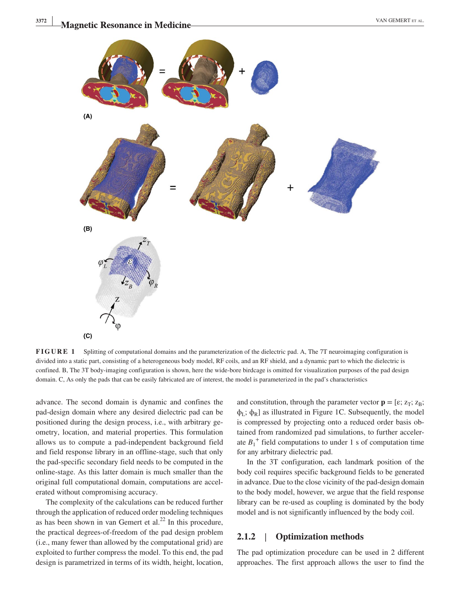

**FIGURE 1** Splitting of computational domains and the parameterization of the dielectric pad. A, The 7T neuroimaging configuration is divided into a static part, consisting of a heterogeneous body model, RF coils, and an RF shield, and a dynamic part to which the dielectric is confined. B, The 3T body-imaging configuration is shown, here the wide-bore birdcage is omitted for visualization purposes of the pad design domain. C, As only the pads that can be easily fabricated are of interest, the model is parameterized in the pad's characteristics

advance. The second domain is dynamic and confines the pad‐design domain where any desired dielectric pad can be positioned during the design process, i.e., with arbitrary geometry, location, and material properties. This formulation allows us to compute a pad‐independent background field and field response library in an offline‐stage, such that only the pad‐specific secondary field needs to be computed in the online‐stage. As this latter domain is much smaller than the original full computational domain, computations are accelerated without compromising accuracy.

The complexity of the calculations can be reduced further through the application of reduced order modeling techniques as has been shown in van Gemert et al. $^{22}$  In this procedure, the practical degrees‐of‐freedom of the pad design problem (i.e., many fewer than allowed by the computational grid) are exploited to further compress the model. To this end, the pad design is parametrized in terms of its width, height, location,

and constitution, through the parameter vector  $\mathbf{p} = [\varepsilon; z_T; z_B;$  $\phi_L$ ;  $\phi_R$ ] as illustrated in Figure 1C. Subsequently, the model is compressed by projecting onto a reduced order basis obtained from randomized pad simulations, to further accelerate  $B_1^+$  field computations to under 1 s of computation time for any arbitrary dielectric pad.

In the 3T configuration, each landmark position of the body coil requires specific background fields to be generated in advance. Due to the close vicinity of the pad‐design domain to the body model, however, we argue that the field response library can be re‐used as coupling is dominated by the body model and is not significantly influenced by the body coil.

## **2.1.2** | **Optimization methods**

The pad optimization procedure can be used in 2 different approaches. The first approach allows the user to find the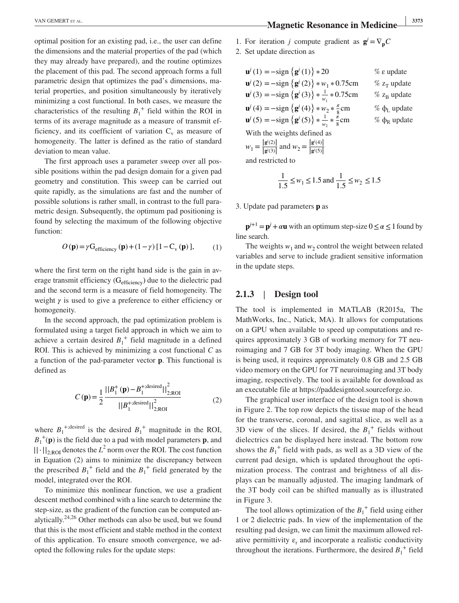optimal position for an existing pad, i.e., the user can define the dimensions and the material properties of the pad (which they may already have prepared), and the routine optimizes the placement of this pad. The second approach forms a full parametric design that optimizes the pad's dimensions, material properties, and position simultaneously by iteratively minimizing a cost functional. In both cases, we measure the characteristics of the resulting  $B_1^+$  field within the ROI in terms of its average magnitude as a measure of transmit efficiency, and its coefficient of variation  $C_v$  as measure of homogeneity. The latter is defined as the ratio of standard deviation to mean value.

The first approach uses a parameter sweep over all possible positions within the pad design domain for a given pad geometry and constitution. This sweep can be carried out quite rapidly, as the simulations are fast and the number of possible solutions is rather small, in contrast to the full parametric design. Subsequently, the optimum pad positioning is found by selecting the maximum of the following objective function:

$$
O(\mathbf{p}) = \gamma G_{\text{efficiency}}(\mathbf{p}) + (1 - \gamma) [1 - C_{\text{v}}(\mathbf{p})], \quad (1)
$$

where the first term on the right hand side is the gain in average transmit efficiency (G<sub>efficiency</sub>) due to the dielectric pad and the second term is a measure of field homogeneity. The weight  $\gamma$  is used to give a preference to either efficiency or homogeneity.

In the second approach, the pad optimization problem is formulated using a target field approach in which we aim to achieve a certain desired  $B_1^+$  field magnitude in a defined ROI. This is achieved by minimizing a cost functional *C* as a function of the pad‐parameter vector **p**. This functional is defined as

$$
C(\mathbf{p}) = \frac{1}{2} \frac{||B_1^+(\mathbf{p}) - B_1^{+;desired}||_{2;ROI}^2}{||B_1^{+;desired}||_{2;ROI}^2}
$$
 (2)

where  $B_1^{+;desired}$  is the desired  $B_1^+$  magnitude in the ROI,  $B_1^{\dagger}(\mathbf{p})$  is the field due to a pad with model parameters **p**, and ||⋅||2;ROI denotes the *L*<sup>2</sup> norm over the ROI. The cost function in Equation (2) aims to minimize the discrepancy between the prescribed  $B_1^{\dagger}$  field and the  $B_1^{\dagger}$  field generated by the model, integrated over the ROI.

To minimize this nonlinear function, we use a gradient descent method combined with a line search to determine the step-size, as the gradient of the function can be computed analytically. $24,26$  Other methods can also be used, but we found that this is the most efficient and stable method in the context of this application. To ensure smooth convergence, we adopted the following rules for the update steps:

- 1. For iteration *j* compute gradient as  $\mathbf{g}^j = \nabla_{\mathbf{n}} C$
- 2. Set update direction as

| $\mathbf{u}^{j}(1) = -\text{sign} \left\{ \mathbf{g}^{j}(1) \right\} * 20$                              | $%$ $\varepsilon$ update        |
|---------------------------------------------------------------------------------------------------------|---------------------------------|
| $\mathbf{u}^{j}(2) = -\text{sign} \left\{ \mathbf{g}^{j}(2) \right\} * w_{1} * 0.75 \text{cm}$          | $\%$ z <sub>T</sub> update      |
| $\mathbf{u}^{j}(3) = -\text{sign} \left\{ \mathbf{g}^{j}(3) \right\} * \frac{1}{w_1} * 0.75 \text{cm}$  | $\%$ z <sub>B</sub> update      |
| $\mathbf{u}^{j}(4) = -\text{sign}\left\{\mathbf{g}^{j}(4)\right\} * w_{2} * \frac{\pi}{8} \text{cm}$    | $\%$ $\phi$ <sub>L</sub> update |
| ${\bf u}'(5) = -\text{sign}\left\{{\bf g}'(5)\right\} * \frac{1}{w_0} * \frac{\pi}{8}$ cm               | $\%$ $\phi_R$ update            |
| With the weights defined as                                                                             |                                 |
| $w_1 = \frac{ \mathbf{g}'(2) }{ \mathbf{g}'(3) }$ and $w_2 = \frac{ \mathbf{g}'(4) }{ \mathbf{g}'(5) }$ |                                 |
|                                                                                                         |                                 |

and restricted to

$$
\frac{1}{1.5} \le w_1 \le 1.5 \text{ and } \frac{1}{1.5} \le w_2 \le 1.5
$$

3. Update pad parameters **p** as

 $\mathbf{p}^{j+1} = \mathbf{p}^j + \alpha \mathbf{u}$  with an optimum step-size  $0 \le \alpha \le 1$  found by line search.

The weights  $w_1$  and  $w_2$  control the weight between related variables and serve to include gradient sensitive information in the update steps.

#### **2.1.3** | **Design tool**

The tool is implemented in MATLAB (R2015a, The MathWorks, Inc., Natick, MA). It allows for computations on a GPU when available to speed up computations and requires approximately 3 GB of working memory for 7T neuroimaging and 7 GB for 3T body imaging. When the GPU is being used, it requires approximately 0.8 GB and 2.5 GB video memory on the GPU for 7T neuroimaging and 3T body imaging, respectively. The tool is available for download as an executable file at <https://paddesigntool.sourceforge.io>.

The graphical user interface of the design tool is shown in Figure 2. The top row depicts the tissue map of the head for the transverse, coronal, and sagittal slice, as well as a 3D view of the slices. If desired, the  $B_1^+$  fields without dielectrics can be displayed here instead. The bottom row shows the  $B_1^+$  field with pads, as well as a 3D view of the current pad design, which is updated throughout the optimization process. The contrast and brightness of all displays can be manually adjusted. The imaging landmark of the 3T body coil can be shifted manually as is illustrated in Figure 3.

The tool allows optimization of the  $B_1^+$  field using either 1 or 2 dielectric pads. In view of the implementation of the resulting pad design, we can limit the maximum allowed relative permittivity  $\varepsilon_r$  and incorporate a realistic conductivity throughout the iterations. Furthermore, the desired  $B_1^+$  field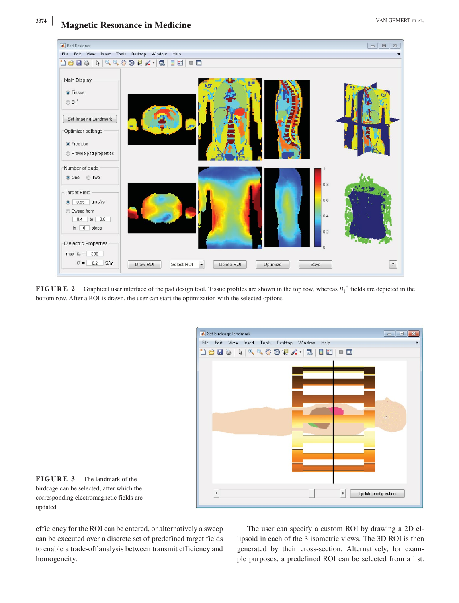#### **<sup>3374</sup> <sup>|</sup> Magnetic Resonance in Medicine Magnetic Resonance in Medicine**



**FIGURE 2** Graphical user interface of the pad design tool. Tissue profiles are shown in the top row, whereas  $B_1^+$  fields are depicted in the bottom row. After a ROI is drawn, the user can start the optimization with the selected options



**FIGURE 3** The landmark of the birdcage can be selected, after which the corresponding electromagnetic fields are updated

efficiency for the ROI can be entered, or alternatively a sweep can be executed over a discrete set of predefined target fields to enable a trade‐off analysis between transmit efficiency and homogeneity.

The user can specify a custom ROI by drawing a 2D ellipsoid in each of the 3 isometric views. The 3D ROI is then generated by their cross‐section. Alternatively, for example purposes, a predefined ROI can be selected from a list.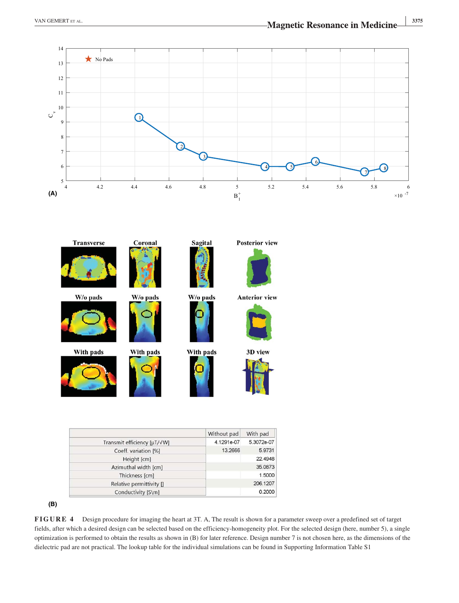

|                             | Without pad | With pad   |
|-----------------------------|-------------|------------|
| Transmit efficiency [µT/√W] | 4.1291e-07  | 5.3072e-07 |
| Coeff. variation [%]        | 13,2666     | 5.9731     |
| Height [cm]                 |             | 22.4948    |
| Azimuthal width [cm]        | 35.0873     |            |
| Thickness [cm]              |             | 1,5000     |
| Relative permittivity []    |             | 206.1207   |
| Conductivity [S\m]          |             | 0.2000     |

**(B)**

**FIGURE 4** Design procedure for imaging the heart at 3T. A, The result is shown for a parameter sweep over a predefined set of target fields, after which a desired design can be selected based on the efficiency-homogeneity plot. For the selected design (here, number 5), a single optimization is performed to obtain the results as shown in (B) for later reference. Design number 7 is not chosen here, as the dimensions of the dielectric pad are not practical. The lookup table for the individual simulations can be found in Supporting Information Table S1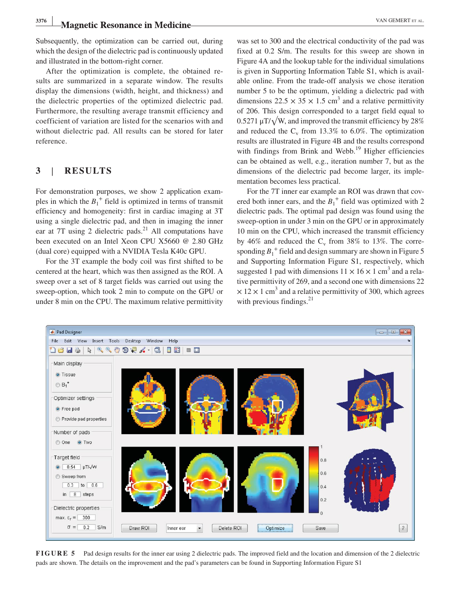# **Magnetic Resonance in Medicine Magnetic Resonance in Medicine**

Subsequently, the optimization can be carried out, during which the design of the dielectric pad is continuously updated and illustrated in the bottom‐right corner.

After the optimization is complete, the obtained results are summarized in a separate window. The results display the dimensions (width, height, and thickness) and the dielectric properties of the optimized dielectric pad. Furthermore, the resulting average transmit efficiency and coefficient of variation are listed for the scenarios with and without dielectric pad. All results can be stored for later reference.

## **3** | **RESULTS**

For demonstration purposes, we show 2 application examples in which the  $B_1^+$  field is optimized in terms of transmit efficiency and homogeneity: first in cardiac imaging at 3T using a single dielectric pad, and then in imaging the inner ear at 7T using 2 dielectric pads. $^{21}$  All computations have been executed on an Intel Xeon CPU X5660 @ 2.80 GHz (dual core) equipped with a NVIDIA Tesla K40c GPU.

For the 3T example the body coil was first shifted to be centered at the heart, which was then assigned as the ROI. A sweep over a set of 8 target fields was carried out using the sweep‐option, which took 2 min to compute on the GPU or under 8 min on the CPU. The maximum relative permittivity was set to 300 and the electrical conductivity of the pad was fixed at 0.2 S/m. The results for this sweep are shown in Figure 4A and the lookup table for the individual simulations is given in Supporting Information Table S1, which is available online. From the trade‐off analysis we chose iteration number 5 to be the optimum, yielding a dielectric pad with dimensions  $22.5 \times 35 \times 1.5$  cm<sup>3</sup> and a relative permittivity of 206. This design corresponded to a target field equal to  $0.5271 \mu T/\sqrt{W}$ , and improved the transmit efficiency by 28% and reduced the  $C_v$  from 13.3% to 6.0%. The optimization results are illustrated in Figure 4B and the results correspond with findings from Brink and Webb.<sup>19</sup> Higher efficiencies can be obtained as well, e.g., iteration number 7, but as the dimensions of the dielectric pad become larger, its implementation becomes less practical.

For the 7T inner ear example an ROI was drawn that covered both inner ears, and the  $B_1^+$  field was optimized with 2 dielectric pads. The optimal pad design was found using the sweep-option in under 3 min on the GPU or in approximately 10 min on the CPU, which increased the transmit efficiency by 46% and reduced the  $C_v$  from 38% to 13%. The corresponding  $B_1$ <sup>+</sup> field and design summary are shown in Figure 5 and Supporting Information Figure S1, respectively, which suggested 1 pad with dimensions  $11 \times 16 \times 1$  cm<sup>3</sup> and a relative permittivity of 269, and a second one with dimensions 22  $\times$  12  $\times$  1 cm<sup>3</sup> and a relative permittivity of 300, which agrees with previous findings.<sup>21</sup>



**FIGURE 5** Pad design results for the inner ear using 2 dielectric pads. The improved field and the location and dimension of the 2 dielectric pads are shown. The details on the improvement and the pad's parameters can be found in Supporting Information Figure S1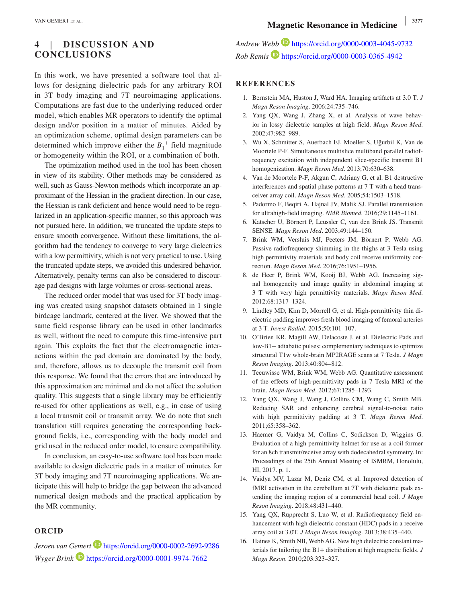# **4** | **DISCUSSION AND CONCLUSIONS**

In this work, we have presented a software tool that allows for designing dielectric pads for any arbitrary ROI in 3T body imaging and 7T neuroimaging applications. Computations are fast due to the underlying reduced order model, which enables MR operators to identify the optimal design and/or position in a matter of minutes. Aided by an optimization scheme, optimal design parameters can be determined which improve either the  $B_1$ <sup>+</sup> field magnitude or homogeneity within the ROI, or a combination of both.

The optimization method used in the tool has been chosen in view of its stability. Other methods may be considered as well, such as Gauss‐Newton methods which incorporate an approximant of the Hessian in the gradient direction. In our case, the Hessian is rank deficient and hence would need to be regularized in an application‐specific manner, so this approach was not pursued here. In addition, we truncated the update steps to ensure smooth convergence. Without these limitations, the algorithm had the tendency to converge to very large dielectrics with a low permittivity, which is not very practical to use. Using the truncated update steps, we avoided this undesired behavior. Alternatively, penalty terms can also be considered to discourage pad designs with large volumes or cross‐sectional areas.

The reduced order model that was used for 3T body imaging was created using snapshot datasets obtained in 1 single birdcage landmark, centered at the liver. We showed that the same field response library can be used in other landmarks as well, without the need to compute this time‐intensive part again. This exploits the fact that the electromagnetic interactions within the pad domain are dominated by the body, and, therefore, allows us to decouple the transmit coil from this response. We found that the errors that are introduced by this approximation are minimal and do not affect the solution quality. This suggests that a single library may be efficiently re‐used for other applications as well, e.g., in case of using a local transmit coil or transmit array. We do note that such translation still requires generating the corresponding background fields, i.e., corresponding with the body model and grid used in the reduced order model, to ensure compatibility.

In conclusion, an easy‐to‐use software tool has been made available to design dielectric pads in a matter of minutes for 3T body imaging and 7T neuroimaging applications. We anticipate this will help to bridge the gap between the advanced numerical design methods and the practical application by the MR community.

#### **ORCID**

*Jeroen van Gemert* <https://orcid.org/0000-0002-2692-9286> *Wyger Brink* <https://orcid.org/0000-0001-9974-7662>

*Andrew Webb* <https://orcid.org/0000-0003-4045-9732> *Rob Remis* <https://orcid.org/0000-0003-0365-4942>

#### **REFERENCES**

- 1. Bernstein MA, Huston J, Ward HA. Imaging artifacts at 3.0 T. *J Magn Reson Imaging*. 2006;24:735–746.
- 2. Yang QX, Wang J, Zhang X, et al. Analysis of wave behavior in lossy dielectric samples at high field. *Magn Reson Med*. 2002;47:982–989.
- 3. Wu X, Schmitter S, Auerbach EJ, Moeller S, Uğurbil K, Van de Moortele P‐F. Simultaneous multislice multiband parallel radiofrequency excitation with independent slice‐specific transmit B1 homogenization. *Magn Reson Med*. 2013;70:630–638.
- 4. Van de Moortele P‐F, Akgun C, Adriany G, et al. B1 destructive interferences and spatial phase patterns at 7 T with a head transceiver array coil. *Magn Reson Med*. 2005;54:1503–1518.
- 5. Padormo F, Beqiri A, Hajnal JV, Malik SJ. Parallel transmission for ultrahigh‐field imaging. *NMR Biomed*. 2016;29:1145–1161.
- 6. Katscher U, Börnert P, Leussler C, van den Brink JS. Transmit SENSE. *Magn Reson Med*. 2003;49:144–150.
- 7. Brink WM, Versluis MJ, Peeters JM, Börnert P, Webb AG. Passive radiofrequency shimming in the thighs at 3 Tesla using high permittivity materials and body coil receive uniformity correction. *Magn Reson Med*. 2016;76:1951–1956.
- 8. de Heer P, Brink WM, Kooij BJ, Webb AG. Increasing signal homogeneity and image quality in abdominal imaging at 3 T with very high permittivity materials. *Magn Reson Med*. 2012;68:1317–1324.
- 9. Lindley MD, Kim D, Morrell G, et al. High-permittivity thin dielectric padding improves fresh blood imaging of femoral arteries at 3 T. *Invest Radiol*. 2015;50:101–107.
- 10. O'Brien KR, Magill AW, Delacoste J, et al. Dielectric Pads and low‐B1+ adiabatic pulses: complementary techniques to optimize structural T1w whole‐brain MP2RAGE scans at 7 Tesla. *J Magn Reson Imaging*. 2013;40:804–812.
- 11. Teeuwisse WM, Brink WM, Webb AG. Quantitative assessment of the effects of high‐permittivity pads in 7 Tesla MRI of the brain. *Magn Reson Med*. 2012;67:1285–1293.
- 12. Yang QX, Wang J, Wang J, Collins CM, Wang C, Smith MB. Reducing SAR and enhancing cerebral signal-to-noise ratio with high permittivity padding at 3 T. *Magn Reson Med*. 2011;65:358–362.
- 13. Haemer G, Vaidya M, Collins C, Sodickson D, Wiggins G. Evaluation of a high permittivity helmet for use as a coil former for an 8ch transmit/receive array with dodecahedral symmetry. In: Proceedings of the 25th Annual Meeting of ISMRM, Honolulu, HI, 2017. p. 1.
- 14. Vaidya MV, Lazar M, Deniz CM, et al. Improved detection of fMRI activation in the cerebellum at 7T with dielectric pads extending the imaging region of a commercial head coil. *J Magn Reson Imaging*. 2018;48:431–440.
- 15. Yang QX, Rupprecht S, Luo W, et al. Radiofrequency field enhancement with high dielectric constant (HDC) pads in a receive array coil at 3.0T. *J Magn Reson Imaging*. 2013;38:435–440.
- 16. Haines K, Smith NB, Webb AG. New high dielectric constant materials for tailoring the B1+ distribution at high magnetic fields. *J Magn Reson*. 2010;203:323–327.